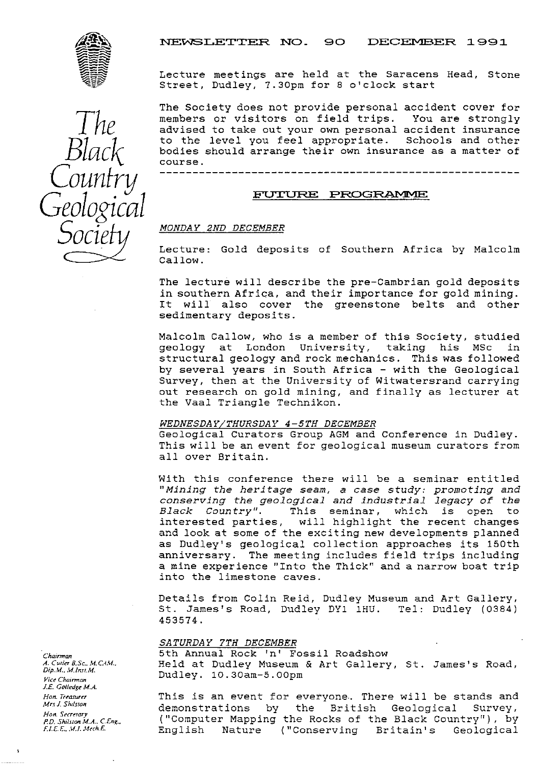NEWSLETTER NO. 90 DECEMBER 1991



e r y Geological  $\tilde{\cdot}$ 

Lecture meetings are held at the Saracens Head, Stone Street, Dudley, 7.30pm for 8 o'clock start

The Society does not provide personal accident cover for<br>members or visitors on field trips. You are strongly members or visitors on field trips. advised to take out your own personal accident insurance<br>to the level you feel appropriate. Schools and other  $Black$  to the level you feel appropriate. Schools and other<br>course. bodies should arrange their own insurance as a matter of Couni -----------------------------------------

## FUTURE PROGRAMME

### *SOC ' <sup>D</sup> MONDAY 2ND DECEMBER*

Lecture: Gold deposits of Southern Africa by Malcolm Callow.

The lecture will describe the pre-Cambrian gold deposits in southern Africa, and their importance for gold mining.<br>It will also cover the greenstone belts and other will also cover the greenstone belts and other sedimentary deposits.

Malcolm Callow, who is a member of this Society, studied geology at London University, taking his MSc in structural geology and rock mechanics. This was followed by several years in South Africa - with the Geological Survey, then at the University of Witwatersrand carrying out research on gold mining, and finally as lecturer at the Vaal. Triangle Technikon.

#### *WEDNESDAY/THURSDAY 4-5TH DECEMBER*

Geological Curators Group AGM and Conference in Dudley. This will be an event for geological museum curators from all over Britain.

With this conference there will be a seminar entitled "Mining the heritage seam, a case study: promoting and *conserving the geological and industrial legacy of* the Black Country". This seminar, which is open to interested parties, will highlight the recent changes and look at some of the exciting new developments planned as Dudley's geological collection approaches its 150th anniversary. The meeting includes field trips including a mine experience "Into the Thick" and a narrow boat trip into the limestone caves.

Details from Colin Reid, Dudley Museum and Art Gallery, St. James's Road, Dudley DY1 1HU. Tel: Dudley (0384) 453574.

#### SATURDAY 7TH DECEMBER

*Chairman* 5th Annual Rock 'n' Fossil Roadshow Held at Dudley Museum & Art Gallery, St. James's Road, *<sup>V</sup> ru,.^u.* Dudley. 10 . 30a-5 . 00pm <sup>m</sup> *Vice*

*Non. Treasurer* This is an event for everyone.. There will be stands and *Mrs.1.Shdston* demonstrations by the British Geological Survey,<br>*Hon. Secretary* ("Computer-Mapping the Rocks of the Black-Country"), by *P.D. Shilston M.A.. C.Eng..* ("Computer Mapping the Rocks of the Black Country"), by<br>*P.D. Shilston M.A.. C.Eng.*. [Profilish Nature ("Conserving Britain's Geological *F.LE.E...LIJ..t(rc\*E* English Nature ("Conserving Britain's Geological

*Dip. .. I ChaW. irman J.E. Golledge M.A.*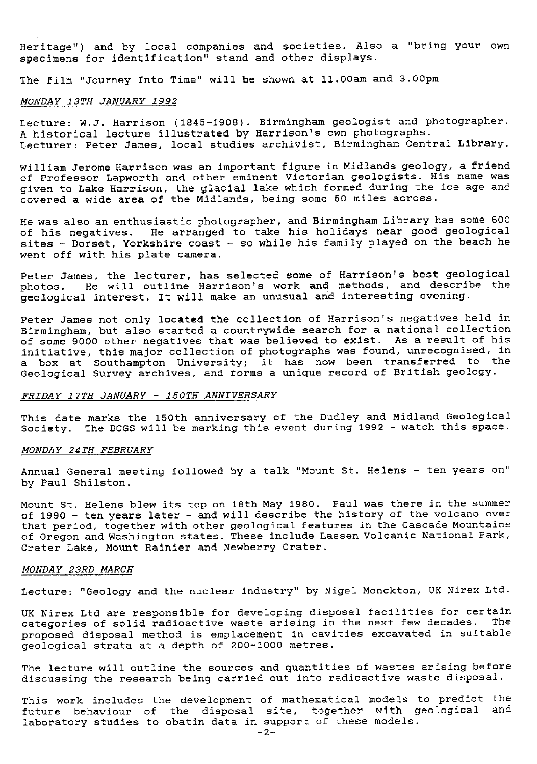Heritage") and by local companies and societies. Also a "bring your own specimens for identification" stand and other displays.

The film "Journey Into Time" will be shown at 11.O0am and 3.00pm

### MONDAY 13TH JANUARY 1992

Lecture: W.J. Harrison (1845-1908). Birmingham geologist and photographer. A historical lecture illustrated by Harrison's own photographs. Lecturer: Peter James, local studies archivist, Birmingham Central Library.

William Jerome Harrison was an important figure in Midlands geology, a friend of Professor Lapworth and other eminent Victorian geologists. His name was given to Lake Harrison, the glacial lake which formed during the ice age and covered a wide area of the Midlands, being some 50 miles across.

He was also an enthusiastic photographer, and Birmingham Library has some 600 of his negatives. He arranged to take his holidays near good geological sites - Dorset, Yorkshire coast - so while his family played on the beach he went off with his plate camera.

Peter James, the lecturer, has selected some of Harrison's best geological photos. He will outline Harrison's work and methods, and describe the geological interest. It will make an unusual and interesting evening.

Peter James not only located the collection of Harrison's negatives held in Birmingham, but also started a countrywide search for a national collection of some 9000 other negatives that was believed to exist. As a result of his initiative, this major collection of photographs was found, unrecognised, in a box at Southampton University; it has now been transferred to the Geological Survey archives, and forms a unique record of British geology.

#### *FRIDAY 17TH JANUARY - 150TH ANNIVERSARY*

This date marks the 150th anniversary of the Dudley and Midland Geological Society. The BOGS will be marking this event during 1992 - watch this space.

#### MONDAY 24TH FEBRUARY

Annual General meeting followed by a talk "Mount St. Helens - ten years on" by Paul Shilston.

Mount St. Helens blew its top on 18th May 1980. Paul was there in the summer of 1990 - ten years later - and will describe the history of the volcano over that period, together with other geological features in the Cascade Mountains of Oregon and Washington states. These include Lassen Volcanic National Park, Crater Lake, Mount Rainier and Newberry Crater.

#### *MONDAY 23RD* MARCH

Lecture: "Geology and the nuclear industry" by Nigel Monckton, UK Nirex Ltd.

UK Nirex Ltd are responsible for developing disposal facilities for certain.<br>Categories of solid radioactive waste arising in the next few decades. The categories of solid radioactive waste arising in the next few decades. proposed disposal method is emplacement in cavities excavated in suitable geological strata at a depth of 200-1000 metres.

The lecture will outline the sources and quantities of wastes arising before discussing the research being carried out into radioactive waste disposal.

This work includes the development of mathematical models to predict the future behaviour of the disposal site, together with geological and laboratory studies to obatin data in support of these models.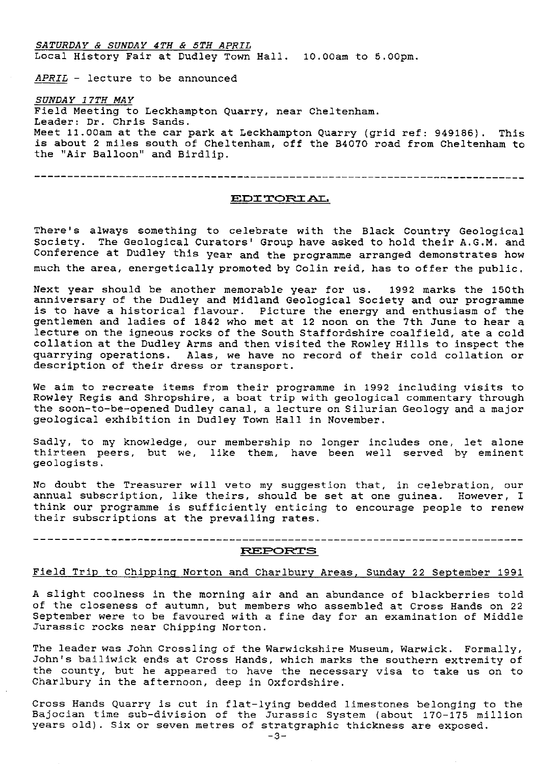*SATURDAY & SUNDAY 4TH & 5TH APRIL* Local History Fair at Dudley Town Hall. 10.00am to 5.00pm. APRIL - lecture to be announced *SUNDAY 17TH MAY* Field Meeting to Leckhampton Quarry, near Cheltenham. Leader: Dr. Chris Sands. Meet 11.00am at the car park at Leckhampton Quarry (grid ref: 949186). This is about 2 miles south of Cheltenham, off the B4070 road from Cheltenham to the "Air Balloon" and Birdlip.

----------------------------------------------------------------------------

#### **ELDI'rc) Pi]L**

There's always something to celebrate with the Black Country Geological Society. The Geological Curators' Group have asked to hold their A.G.M. and Conference at Dudley this year and the programme arranged demonstrates how much the area, energetically promoted by Colin reid, has to offer the public.

Next year should be another memorable year for us. 1992 marks the 150th anniversary of the Dudley and Midland Geological Society and our programme is to have a historical flavour. Picture the energy and enthusiasm of the gentlemen and ladies of 1842 who met at 12 noon on the 7th June to hear a lecture on the igneous rocks of the South Staffordshire coalfield, ate a cold collation at the Dudley Arms and then visited the Rowley Hills to inspect the quarrying operations. Alas, we have no record of their cold collation or description of their dress or transport.

We aim to recreate items from their programme in 1992 including visits to Rowley Regis and Shropshire, a boat trip with geological commentary through the soon-to-be-opened Dudley canal, a lecture on Silurian Geology and a major geological exhibition in Dudley Town Hall in November.

Sadly, to my knowledge, our membership no longer includes one, let alone thirteen peers, but we, like them, have been well served by eminent geologists.

No doubt the Treasurer will veto my suggestion that, in celebration, our annual subscription, like theirs, should be set at one guinea. However, I think our programme is sufficiently enticing to encourage people to renew their subscriptions at the prevailing rates.

#### **FR.EPOFtTS**

# Field Trip to Chipping Norton and Charlbury Areas, Sunday 22 September 1991

A slight coolness in the morning air and an abundance of blackberries told of the closeness of autumn, but members who assembled at Cross Hands on 22 September were to be favoured with a fine day for an examination of Middle Jurassic rocks near Chipping Norton.

The leader was John Crossling of the Warwickshire Museum, Warwick. Formally, John's bailiwick ends at Cross Hands, which marks the southern extremity of the county, but he appeared to have the necessary visa to take us on to Charlbury in the afternoon, deep in Oxfordshire.

Cross Hands Quarry is out in flat-lying bedded limestones belonging to the Bajocian time sub-division of the Jurassic System (about 170-175 million years old). Six or seven metres of stratgraphic thickness are exposed.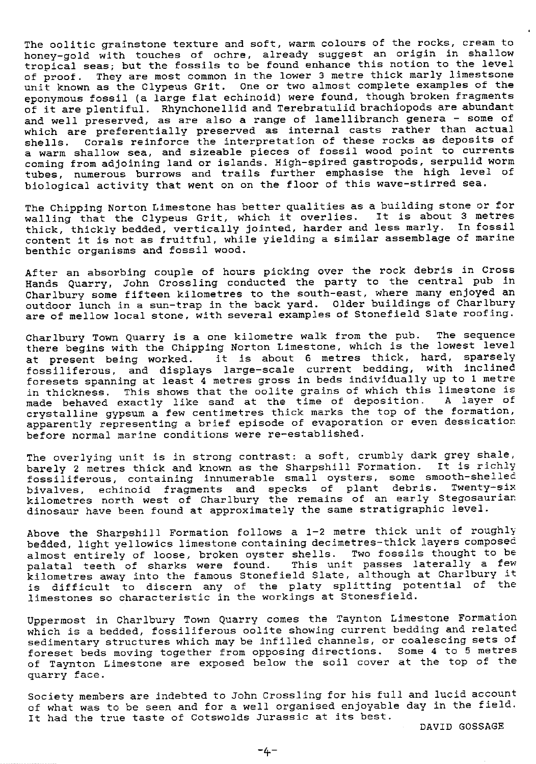The oolitic grainstone texture and soft, warm colours of the rocks, cream to honey-gold with touches of ochre, already suggest an origin in shallow tropical seas; but the fossils to be found enhance this notion to the level of proof. They are most common in the lower 3 metre thick marly limestsone unit known as the Clypeus Grit. One or two almost complete examples of the eponymous fossil (a large flat echinoid) were found, though broken fragments of it are plentiful. Rhynchonellid and Terebratulid brachiopods are abundant and well preserved, as are also a range of lamellibranch genera - some of which are preferentially preserved as internal casts rather than actual shells. Corals reinforce the interpretation of these rocks as deposits of a warm shallow sea, and sizeable pieces of fossil wood point to currents coming from adjoining land or islands. High-spired gastropods, serpulid worm *tubes,* numerous burrows and trails further emphasise the high level of biological activity that went on on the floor of this wave-stirred sea.

The Chipping Norton Limestone has better qualities as a building stone or for walling that the Clypeus Grit, which it overlies. It is about 3 metres thick, thickly bedded, vertically jointed, harder and less marly. In fossil content it is not as fruitful, while yielding a similar assemblage of marine benthic organisms and fossil wood.

After an absorbing couple of hours picking over *the* rock debris in Cross Hands Quarry, John Crossling conducted the party to the central pub in Charlbury some fifteen kilometres to the south-east, *where* many enjoyed an outdoor lunch in a sun-trap in *the* back yard. Older buildings of Charlbury are of mellow local stone, with several examples of Stonefield Slate roofing.

Charlbury Town Quarry is a one kilometre walk from the pub. *The* sequence there begins with the Chipping Norton Limestone, which is the lowest level at present being worked. it is about 6 metres thick, hard, sparsely fossiliferous, and displays large-scale current bedding, with inclined foresets spanning at least 4 metres gross in beds individually up to 1 metre in thickness. This shows that the oolite grains of which this limestone is made behaved exactly like sand at the time of deposition. A layer of crystalline gypsum a few centimetres thick marks the top of the formation, apparently representing a brief episode of evaporation or even dessicatior before normal marine conditions were re-established.

The overlying unit is in strong contrast: a soft, crumbly dark grey shale, barely 2 metres thick and known as the Sharpshill Formation. It is richly fossiliferous, containing innumerable small oysters, some smooth-shelled bivalves, echinoid fragments and specks of plant debris. Twenty-six kilometres north west of Charlbury the remains of an early Stegosaurian dinosaur have been found at approximately the same stratigraphic level.

Above the Sharpshill Formation follows a 1-2 metre thick unit of roughly bedded, light yellowics limestone containing decimetres-thick layers composed almost entirely of loose, broken oyster shells. Two fossils thought to be palatal teeth of sharks were found. This unit passes laterally a few kilometres away into the famous Stonefield Slate, although at Charlbury it is difficult to discern any of the platy splitting potential of the limestones so characteristic in the workings at Stonesfield.

Uppermost in Charlbury Town Quarry comes the Taynton Limestone Formation which is a bedded, fossiliferous oolite showing current bedding and related sedimentary structures which may be infilled channels, or coalescing sets of foreset beds moving together from opposing directions. Some 4 to 5 metres of Taynton Limestone are exposed below the soil cover at the top of the quarry face.

Society members are indebted to John Crossling for his full and lucid account of what was to be seen and for a well organised enjoyable day in the field. It had the true taste of Cotswolds Jurassic at its best.

DAVID GOSSAGE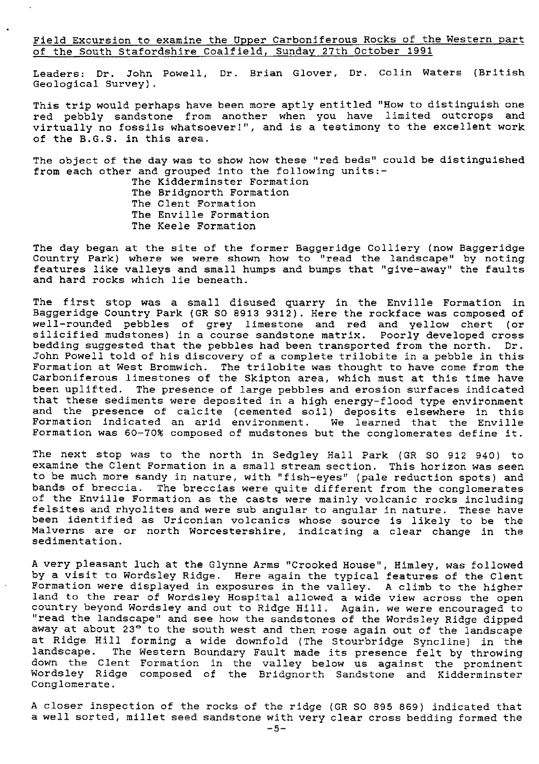Field Excursion to examine the Upper Carboniferous Rocks of the Western part of the South Stafordshire Coalfield, Sunday 27th October 1991

Leaders: Dr. John Powell, Dr. Brian Glover, Dr. Colin Waters (British Geological Survey).

This trip would perhaps have been more aptly entitled "How to distinguish one red pebbly sandstone from another when you have limited outcrops and virtually no fossils whatsoever!", and is a testimony to the excellent work of the B.G.S. in this area.

The object of the day was to show how these "red beds" could be distinguished from each other and grouped into the following units:-

> The Kidderminster Formation The Bridgnorth Formation The Clent Formation The Enville Formation The Keele Formation

The day began at the site of the former Baggeridge Colliery (now Baggeridge Country Park) where we were shown how to "read the landscape" by noting features like valleys and small humps and bumps that "give-away" the faults and hard rocks which lie beneath.

The first stop was a small disused quarry in the Enville Formation in Baggeridge Country Park (CR SO 8913 9312). Here the rockface was composed of well-rounded pebbles of grey limestone and red and yellow chert (or silicified mudstones) in a course sandstone matrix. Poorly developed cross bedding suggested that the pebbles had been transported from the north. Dr. John Powell told of *his discovery* of a complete trilobite in a pebble in this Formation at West Bromwich. The trilobite was thought to have come from the Carboniferous limestones of the Skipton area, which must at this time have been uplifted. The presence of large pebbles and erosion surfaces indicated that these sediments were deposited in a high energy-flood type environment and the presence of calcite (cemented soil) deposits elsewhere in this Formation indicated an arid environment. We learned that the Enville Formation was 60-70% composed of mudstones but the conglomerates define it.

The next stop was to the north in Sedgley Hall Park (GR SO 912 940) to examine the Clent Formation in a small stream section. This horizon was seen to be much more sandy in nature, with "fish-eyes" (pale reduction spots) and bands of breccia. The breccias were quite different from the conglomerates of the Enville Formation as the casts were mainly volcanic rocks including felsites and rhyolites and were sub angular to angular in nature. *These* have been identified as Uriconian volcanics whose source is likely to be the Malverns are or north Worcestershire, indicating a clear change in the sedimentation.

A very pleasant luch at the Glynne Arms "Crooked House", Himley, was followed by a visit to Wordsley Ridge. Here again the typical features of the Clent Formation were displayed in exposures in the valley. A climb to the higher land to the rear of Wordsley Hospital allowed a wide view across the open country beyond Wordsley and out to Ridge Hill. Again, we were encouraged to "read the landscape" and see how the sandstones of the Wordsley Ridge dipped away at about 23° to the south west and then rose again out of the landscape at Ridge Hill forming a wide downfold (The Stourbridge Syncline) in the landscape. The Western Boundary Fault made its presence felt by throwing down the Clent Formation in the valley below us against the prominen Wordsley Ridge composed of the Bridgnorth Sandstone and Kidderminste Conglomerate.

A closer inspection of the rocks of the ridge (GR SO 895 869) indicated that a well sorted, millet seed sandstone with very clear cross bedding formed the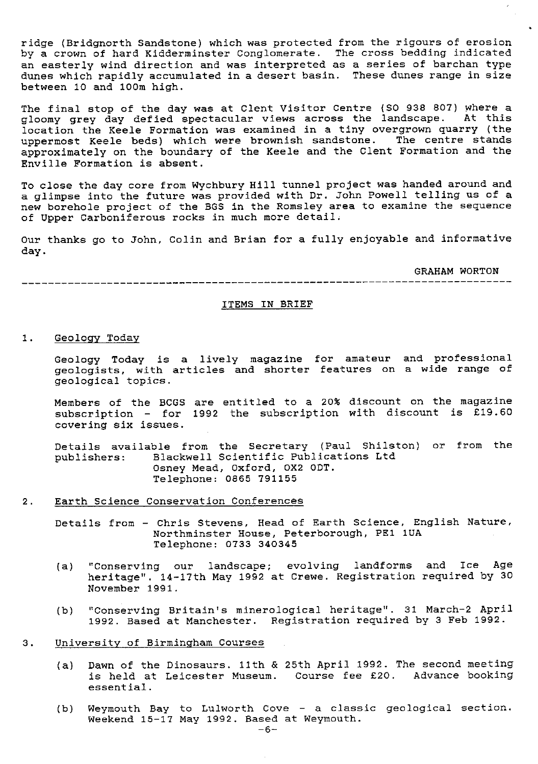ridge (Bridgnorth Sandstone) which was protected from the rigours of erosion by a crown of hard Kidderminster Conglomerate. The cross bedding indicated an easterly wind direction and was interpreted as a series of barchan type dunes which rapidly accumulated in a desert basin. These dunes range in size between 10 and loom high.

The final stop of the day **was** at Clent Visitor Centre (SO 938 807) where a gloomy grey day defied spectacular views across the landscape. At this location the Keele Formation was examined in a tiny overgrown quarry (the uppermost Keele beds) which were brownish sandstone. The centre stands approximately on the boundary of the Keele and the Clent Formation and the Enville Formation is absent.

To close the day core from Wychbury Hill tunnel project was handed around and a glimpse into the future was provided with Dr. John Powell telling us of a new borehole project of the BGS in the Romsley area to examine the sequence of Upper Carboniferous rocks in much more detail.

Our thanks go to John, Colin and Brian for a fully enjoyable and informative day.

**GRAHAM WORTON**

#### **ITEMS IN BRIEF**

**1. Geology** Tod

Geology Today is a lively magazine for amateur and professional geologists, with articles and shorter features on a wide range of geological topics.

Members of the BCGS are entitled to a 20% discount on the magazine subscription - for 1992 the subscription with discount is £19.60 covering six issues.

Details available from the Secretary (Paul Shilston) or from the publishers: Blackwell Scientific Publications Ltd Blackwell Scientific Publications Ltd Osney Mead, Oxford, 0X2 ODT. Telephone: 0865 791155

- 2. Earth Science Conservation Conferences
	- Details from Chris Stevens, Head of Earth Science, English Nature, Northminster House, Peterborough, PE1 1UA Telephone: 0733 340345
	- (a) "Conserving our landscape; evolving landforms and Ice Age heritage". 14-17th May 1992 at Crewe. Registration required by 30 November 1991.
	- (b) "Conserving Britain's minerological heritage". 31 March-2 April 1992. Based at Manchester. Registration required by 3 Feb 1992.
- 3. University of Birmingham Courses
	- (a) Dawn of the Dinosaurs. 11th & 25th April 1992. The second meeting is held at Leicester Museum. Course fee £20. Advance booking essential.
	- (b) Weymouth Bay to Lulworth Cove a classic geological section. Weekend 15-17 May 1992. Based at Weymouth.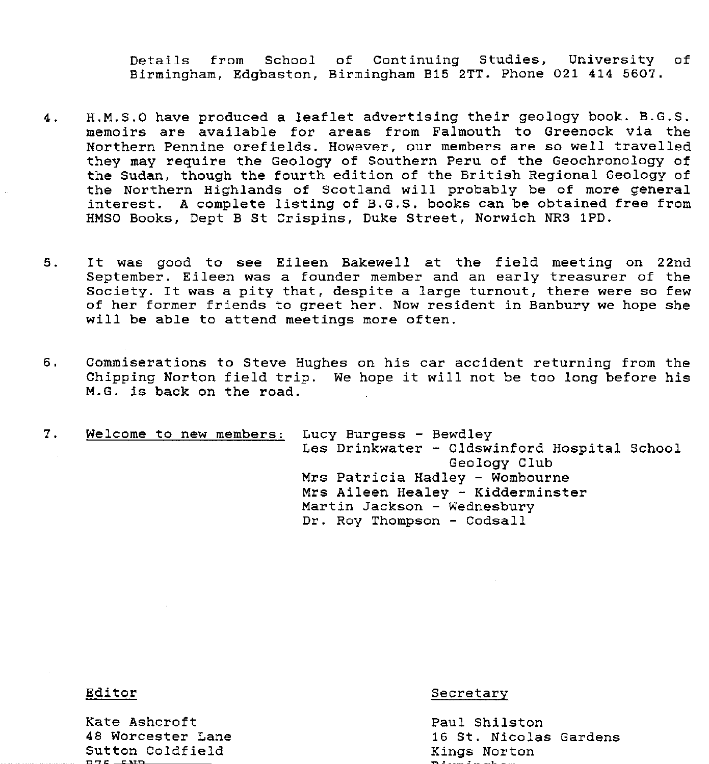Details from School of Continuing Studies, University of Birmingham, Edgbaston, Birmingham 315 2TT. Phone 021 414 5607.

- 4. H.M.S.0 have produced a leaflet advertising their geology book. B.G.S. memoirs are available for areas from Falmouth to Greenock via the Northern Pennine orefields. However, our members are so well travelled they may require the Geology of Southern Peru of the Geochronology of the Sudan, though the fourth edition of the British Regional Geology of the Northern Highlands of Scotland will probably be of more general interest. A complete listing of B.G.S. books can be obtained free from HMSO Books, Dept B St Crispins, Duke Street, Norwich NR3 1PD.
- 5. It was good to see Eileen Bakewell at the field meeting on 22nd September. Eileen was a founder member and an early treasurer of the Society. It was a pity that, despite a large turnout, there were so few of her former friends to greet her. Now resident in Banbury we hope she will be able to attend meetings more often.
- 6. Commiserations to Steve Hughes on his car accident returning from the Chipping Norton field trip. We hope it will not be too long before his M.G. is back on the road.

7. Welcome to new members: Lucy Burgess - Bewdley Les Drinkwater - Oldswinford Hospital School Geology Club Mrs Patricia Hadley - Wombourne Mrs Aileen Healey - Kidderminster Martin Jackson - Wednesbury Dr. Roy Thompson - Codsall

Kate Ashcroft Paul Shilston Sutton Coldfield Kings Norton

Editor Secretary Secretary Secretary

16 St. Nicolas Gardens